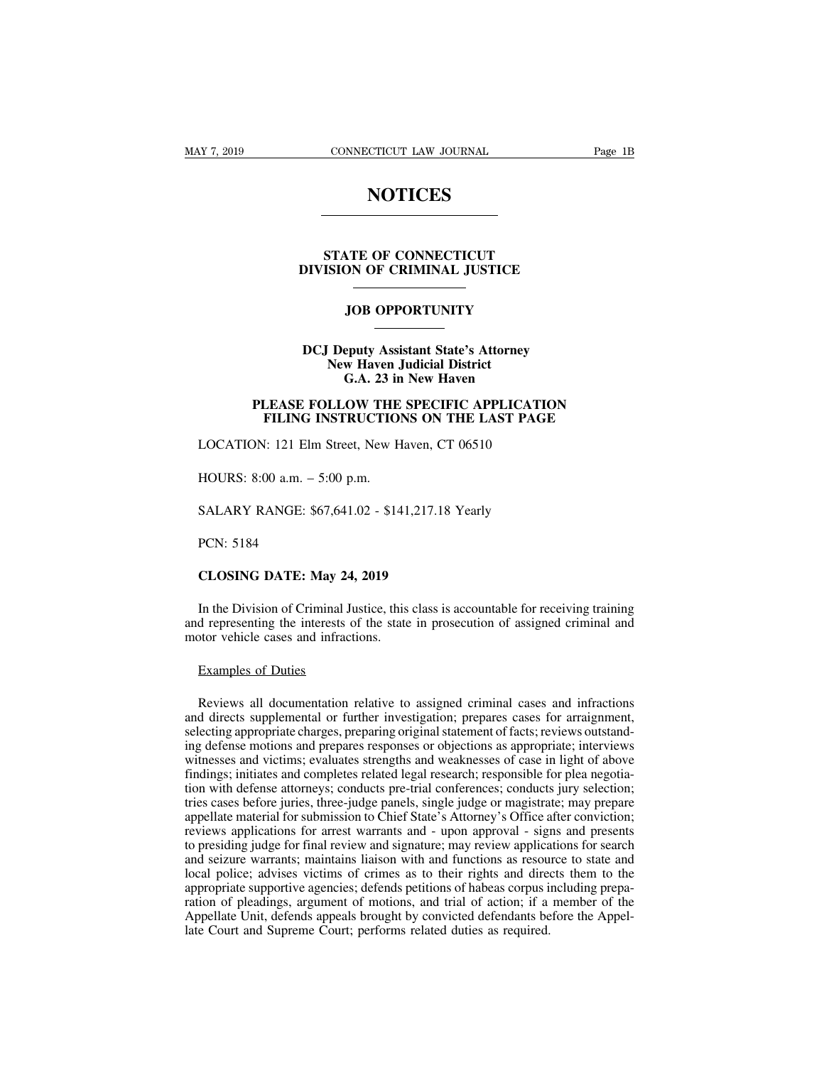### **NOTICES**

### **STATE OF CONNECTICUT<br>STATE OF CONNECTICUT<br>ISION OF CRIMINAL JUSTICE DIVISION OF CONNECTICUT<br>DIVISION OF CRIMINAL JUSTICE JOB OPPORTUNITY**

### STATE OF CONNECTICUT<br>DIVISION OF CRIMINAL JUSTICE<br>JOB OPPORTUNITY<br>DCJ Deputy Assistant State's Attorney<br>New Haven Judicial District<br>G.A. 23 in New Haven **NEW OF CRIMINAL JUSTICE**<br> **NEW OPPORTUNITY**<br> **New Haven Judicial District<br>
G.A. 23 in New Haven JOB OPPORTUNITY**<br>
eputy Assistant State's Attorney<br>
w Haven Judicial District<br>
G.A. 23 in New Haven<br>
COW THE SPECIFIC APPLICAT **PLEASE FOLLOW THE SPECIFIC APPLICATION<br>
PLEASE FOLLOW THE SPECIFIC APPLICATION<br>
FILING INSTRUCTIONS ON THE LAST PAGE FILING INSTRUCTIONS ON THE LAST PAGE OF STATE ISSUES ON THE SPECIFIC APPLICATION**<br>**FILING INSTRUCTIONS ON THE LAST PAGE**<br>
FILING INSTRUCTIONS ON THE LAST PAGE<br>
FILING INSTRUCTIONS ON THE LAST PAGE<br>
FILING INSTRUCTIONS ON DCJ Deputy Assistant State's Attorney<br>New Haven Judicial District<br>G.A. 23 in New Haven<br>PLEASE FOLLOW THE SPECIFIC APPLICATION<br>FILING INSTRUCTIONS ON THE LAST PAGE<br>LOCATION: 121 Elm Street, New Haven, CT 06510<br>HOURS: 8:00 a

## G.A. 25 h<br>
PLEASE FOLLOW THE<br>
FILING INSTRUCTIO<br>
LOCATION: 121 Elm Street, New F<br>
HOURS: 8:00 a.m. – 5:00 p.m.<br>
SALARY RANGE: \$67.641.02 - \$14 FILING INSTRUCTIONS ON THE LAST PAGE<br>LOCATION: 121 Elm Street, New Haven, CT 06510<br>HOURS: 8:00 a.m. – 5:00 p.m.<br>SALARY RANGE: \$67,641.02 - \$141,217.18 Yearly<br>PCN: 5184

EOCATION: 121 Em<br>HOURS: 8:00 a.m. – .<br>SALARY RANGE: \$6<br>PCN: 5184<br>CLOSING DATE: M

**COOKS: 8:00 a.m. – 5:00 p.m.**<br> **CALARY RANGE: \$67,641.02 - \$141,217.18**<br> **PCN: 5184**<br> **CLOSING DATE: May 24, 2019**<br>
In the Division of Criminal Justice, this class is

PCN: 5184<br>
CLOSING DATE: May 24, 2019<br>
In the Division of Criminal Justice, this class is accountable for receiving training<br>
d representing the interests of the state in prosecution of assigned criminal and<br>
otor vehicle PCN: 5184<br>CLOSING DATE: May 24, 2019<br>In the Division of Criminal Justice, this class is accountable for receiving training<br>and representing the interests of the state in prosecution of assigned criminal and<br>motor vehicle c PCN: 5184<br>CLOSING DATE: May 24, 2019<br>In the Division of Criminal Justice, this<br>and representing the interests of the state<br>motor vehicle cases and infractions.<br>Examples of Duties CLOSING DATE: May 24<br>In the Division of Criminal J<br>d representing the interests of<br>tor vehicle cases and infract<br>Examples of Duties<br>Reviews all documentation

In the Division of Criminal Justice, this class is accountable for receiving training<br>d representing the interests of the state in prosecution of assigned criminal and<br>otor vehicle cases and infractions.<br>Examples of Duties and representing the interests of the state in prosecution of assigned criminal and<br>motor vehicle cases and infractions.<br>Examples of Duties<br>Reviews all documentation relative to assigned criminal cases and infractions<br>and motor vehicle cases and infractions.<br>Examples of Duties<br>Reviews all documentation relative to assigned criminal cases and infractions<br>and directs supplemental or further investigation; prepares cases for arraignment,<br>selec Examples of Duties<br>Reviews all documentation relative to assigned criminal cases and infractions<br>and directs supplemental or further investigation; prepares cases for arraignment,<br>selecting appropriate charges, preparing o Examples of Duties<br>Reviews all documentation relative to assigned criminal cases and infractions<br>and directs supplemental or further investigation; prepares cases for arraignment,<br>selecting appropriate charges, preparing o Reviews all documentation relative to assigned criminal cases and infractions<br>and directs supplemental or further investigation; prepares cases for arraignment,<br>selecting appropriate charges, preparing original statement o Reviews all documentation relative to assigned criminal cases and infractions<br>and directs supplemental or further investigation; prepares cases for arraignment,<br>selecting appropriate charges, preparing original statement o Reviews an documentation relative to assignce erminar cases and imactions<br>and directs supplemental or further investigation; prepares cases for arraignment,<br>selecting appropriate charges, preparing original statement of fa and different subplemental of future investigation, prepares cases for an<br>algenting, selecting appropriate charges, preparing original statement of facts; reviews outstand-<br>ing defense motions and prepares responses or obj sciecing appropriate charges, preparing original statement or racts, reviews ottstanting defense motions and prepares responses or objections as appropriate; interviews witnesses and victims; evaluates strengths and weakne Ing decense includes and prepates responses or objections as appropriate, interviews<br>witnesses and victims; evaluates strengths and weaknesses of case in light of above<br>findings; initiates and completes related legal resea whitesses and victims, evantates strengths and weaknesses of case in right of above<br>findings; initiates and completes related legal research; responsible for plea negotia-<br>tion with defense attorneys; conducts pre-trial co local police; advises victims of crimes, and trial conferences; conducts jury selection; tries cases before juries, three-judge panels, single judge or magistrate; may prepare appellate material for submission to Chief Sta about what detends altomeys, conducts pre-trial conferences, conducts jury selection;<br>tries cases before juries, three-judge panels, single judge or magistrate; may prepare<br>appellate material for submission to Chief State' ration of pleadings, and trial of motions, and trial of actions are appellate material for submission to Chief State's Attorney's Office after conviction; reviews applications for arrest warrants and - upon approval - sign appendic material for submission to efficient and a synthery some date conviction, reviews applications for arrest warrants and - upon approval - signs and presents to presiding judge for final review and signature; may re Leviews applications for artest warrants and "apon applications" is the presiding judge for final review and signature; may review applica and seizure warrants; maintains liaison with and functions as resourcies about loca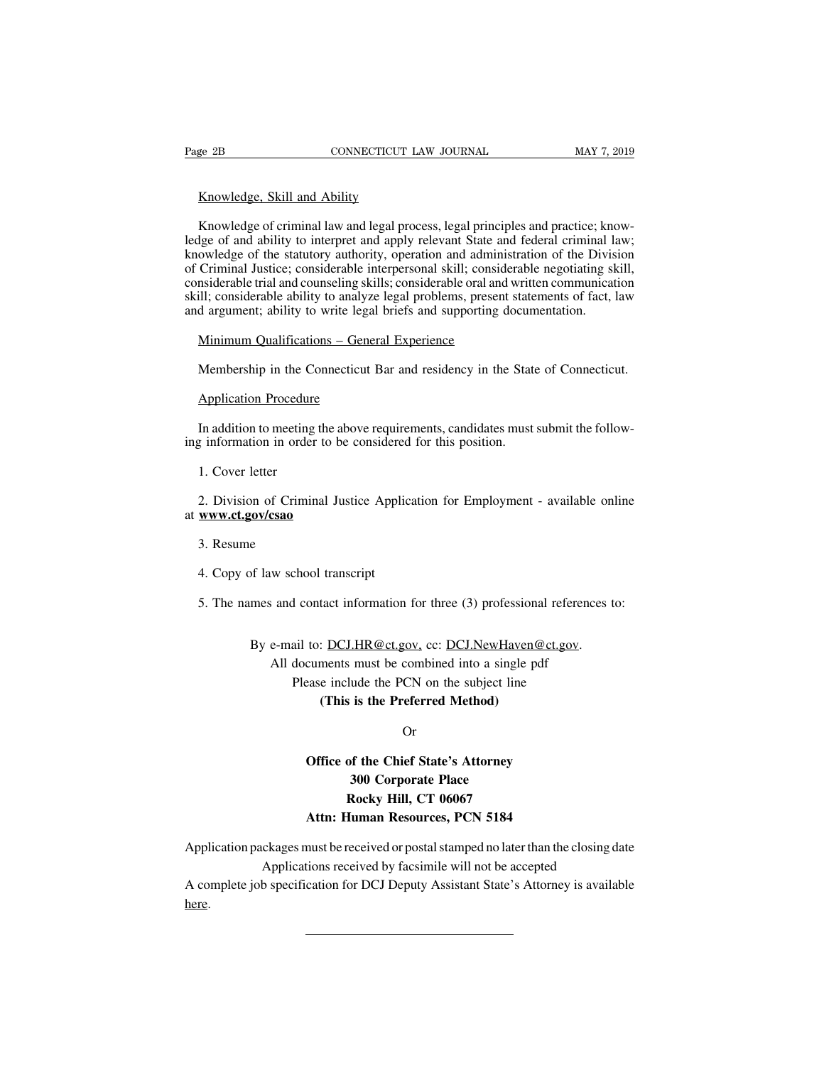EXECTE<br>
EXECTE EXECTED THE SERIES CONNECTICUT<br>
Knowledge of criminal law and legal proc EXECT BE CONNECTICUT LAW JOURNAL MAY 7, 2019<br>
Knowledge, Skill and Ability<br>
Knowledge of criminal law and legal process, legal principles and practice; know-<br>
Ige of and ability to interpret and apply relevant State and fe Fage 2B CONNECTICUT LAW JOURNAL MAY 7, 2019<br>
Knowledge, Skill and Ability<br>
Knowledge of criminal law and legal process, legal principles and practice; know-<br>
ledge of and ability to interpret and apply relevant State and f Knowledge, Skill and Ability<br>Knowledge of criminal law and legal process, legal principles and practice; know-<br>ledge of and ability to interpret and apply relevant State and federal criminal law;<br>knowledge of the statutory Knowledge, Skill and Ability<br>Knowledge of criminal law and legal process, legal principles and practice; know-<br>ledge of and ability to interpret and apply relevant State and federal criminal law;<br>knowledge of the statutory Knowledge, Skill and Ability<br>Knowledge of criminal law and legal process, legal principles and practice; know-<br>ledge of and ability to interpret and apply relevant State and federal criminal law;<br>knowledge of the statutory Knowledge of criminal law and legal process, legal principles and practice; knowledge of and ability to interpret and apply relevant State and federal criminal law; knowledge of the statutory authority, operation and admin Knowledge of criminal law and legal process, legal principles and practice; kness ledge of and ability to interpret and apply relevant State and federal criminal liknowledge of the statutory authority, operation and admini ge of and abiny to interpret and apply relevant state and owledge of the statutory authority, operation and adminic Criminal Justice; considerable interpersonal skill; considerable trial and counseling skills; considerable Similar and counseling skills; considerable oral and written communication<br>ill; considerable trial and counseling skills; considerable oral and written communication<br>ill; considerable ability to analyze legal problems, pre d argument; ability to write lega<br>Minimum Qualifications – Gene<br>Membership in the Connecticut<br>Application Procedure<br>In addition to meeting the above

Minimum Qualifications – General Experience<br>
Membership in the Connecticut Bar and residency in the State of Connecticut.<br>
Application Procedure<br>
In addition to meeting the above requirements, candidates must submit the fo Membership in the Connecticut Bar and residency in the State<br>
Application Procedure<br>
In addition to meeting the above requirements, candidates must<br>
ing information in order to be considered for this position.<br>
1. Cover le Application Procedure<br>
In addition to meeting<br>
1. Cover letter<br>
2. Division of Crimin

2. In addition to meeting the above requirements, candidates must submit the following information in order to be considered for this position.<br>
1. Cover letter<br>
2. Division of Criminal Justice Application for Employment at **www.ct.gov/csao** 1. Cover letter<br>2. Division of Crimi<br>**www.ct.gov/csao**<br>3. Resume<br>4. Copy of law scho 2. Division of Criminal Justice Applic<br> **www.ct.gov/csao**<br>
3. Resume<br>
4. Copy of law school transcript<br>
5. The names and contact information S. Resume<br>3. Resume<br>4. Copy of law school transcript<br>5. The names and contact information for three (3) professional references to:

of law school transcript<br>mes and contact information for three (3) professional references to<br>By e-mail to: <u>DCJ.HR@ct.gov,</u> cc: <u>DCJ.NewHaven@ct.gov</u>.<br>All documents must be combined into a single pdf<br>Dlage include the DCN All documents must be combined Motherst<br>
All documents must be combined into a single pdf<br>
Please include the PCN on the subject line<br>
(This is the Prefermed Method) d contact information for three (3) professional refere<br>ail to: <u>DCJ.HR@ct.gov</u>, cc: <u>DCJ.NewHaven@ct.gov</u><br>documents must be combined into a single pdf<br>Please include the PCN on the subject line<br>(**This is the Preferred Met** 

Example 18 Information for times (3) profession:<br>
1 <u>DCJ.HR@ct.gov</u>, cc: <u>DCJ.NewHaven@</u><br>
ments must be combined into a single pe<br>
include the PCN on the subject line<br> **(This is the Preferred Method)**<br>
Or

Or

### cuments must be combined into a single pdf<br>
ease include the PCN on the subject line<br>
(This is the Preferred Method)<br>
Or<br>
Office of the Chief State's Attorney<br>
300 Corporate Place Example of the Preferred Method)<br> **300 Corporate Place**<br> **300 Corporate Place**<br> **300 Corporate Place**<br> **Rocky Hill, CT 06067 Rocky Hill, CT 06067**<br>**Rocky Hill, CT 06067**<br>**Rocky Hill, CT 06067**<br>**Rocky Hill, CT 06067** Or<br> **Atta:** Or Office of the Chief State's Attorney<br>
300 Corporate Place<br>
Rocky Hill, CT 06067<br>
Attn: Human Resources, PCN 5184<br>
must be received or postal stamped no later than the d

Office of the Chief State's Attorney<br>
300 Corporate Place<br>
Rocky Hill, CT 06067<br>
Attn: Human Resources, PCN 5184<br>
Application packages must be received or postal stamped no later than the closing date<br>
Applications receive 300 Corporate Place<br>
Rocky Hill, CT 06067<br>
Attn: Human Resources, PCN 5184<br>
ckages must be received or postal stamped no later than the closing d<br>
Applications received by facsimile will not be accepted<br>
b specification fo Rocky Hill, CT 06067<br>Attn: Human Resources, PCN 5184<br>Application packages must be received or postal stamped no later than the closing date<br>A complete job specification for DCJ Deputy Assistant State's Attorney is availabl

here.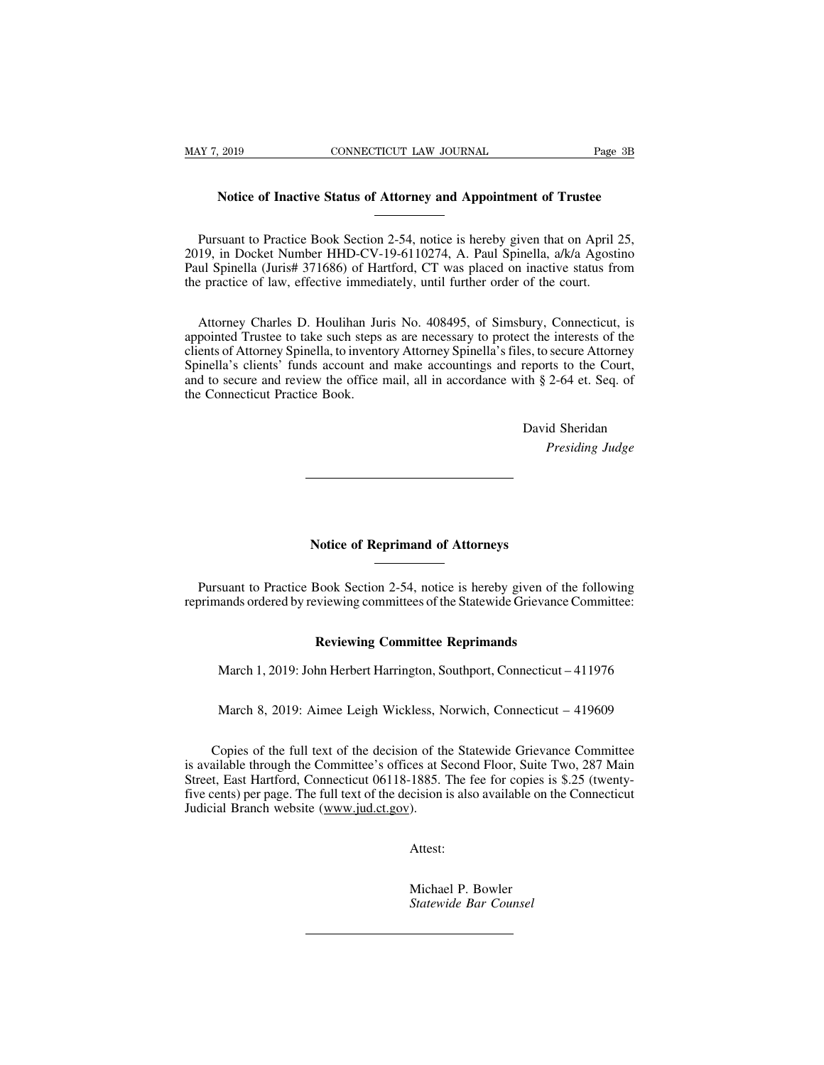# Page 3B<br>
Notice of Inactive Status of Attorney and Appointment of Trustee

Notice of Inactive Status of Attorney and Appointment of Trustee<br>
Pursuant to Practice Book Section 2-54, notice is hereby given that on April 25,<br>
19, in Docket Number HHD-CV-19-6110274, A. Paul Spinella, *a/k/a* Agostino Notice of Inactive Status of Attorney and Appointment of Trustee<br>
Pursuant to Practice Book Section 2-54, notice is hereby given that on April 25,<br>
2019, in Docket Number HHD-CV-19-6110274, A. Paul Spinella, a/k/a Agostino Notice of Inactive Status of Attorney and Appointment of Trustee<br>
Pursuant to Practice Book Section 2-54, notice is hereby given that on April 25,<br>
2019, in Docket Number HHD-CV-19-6110274, A. Paul Spinella, *a/k/a* Agosti Notice of Inactive Status of Attorney and Appointment of Trustee<br>
Tursuant to Practice Book Section 2-54, notice is hereby given that on April 2<br>
2019, in Docket Number HHD-CV-19-6110274, A. Paul Spinella, a/k/a Agosti<br>
Pa Pursuant to Practice Book Section 2-54, notice is hereby given that on April 25, 19, in Docket Number HHD-CV-19-6110274, A. Paul Spinella, a/k/a Agostino ul Spinella (Juris# 371686) of Hartford, CT was placed on inactive s

Fursuant to Fractice Book Section 2-54, notice is hereby given that on Apm 25, 2019, in Docket Number HHD-CV-19-6110274, A. Paul Spinella, a/k/a Agostino Paul Spinella (Juris# 371686) of Hartford, CT was placed on inactive 2019, in Docket Number HHD-CV-19-0110274, A. Paul Spinella, ark/a Agostino<br>Paul Spinella (Juris# 371686) of Hartford, CT was placed on inactive status from<br>the practice of law, effective immediately, until further order o Faul Spinella (Julis# 371080) of Hattoid, CT was placed on inactive status from<br>the practice of law, effective immediately, until further order of the court.<br>Attorney Charles D. Houlihan Juris No. 408495, of Simsbury, Conn and to secure and review the office mail, all in accordance with § 2-64 et. Seq. of the Connecticut Practice Book.<br>
The Connecticut may be presented Trustee to take such steps as are necessary to protect the interests of t Attorney Charles D. Houlihan Juappointed Trustee to take such steps<br>clients of Attorney Spinella, to invento<br>Spinella's clients' funds account and<br>and to secure and review the office i<br>the Connecticut Practice Book. the interests of the<br>es, to secure Attorney<br>reports to the Court,<br>th § 2-64 et. Seq. of<br>David Sheridan<br>*Presiding Judge Presiding Histories*<br> *Presiding Judge*<br> *Presiding Judge* 

# Property of Reprimand of Attorneys

Notice of Reprimand of Attorneys<br>
Pursuant to Practice Book Section 2-54, notice is hereby given of the following<br>
primands ordered by reviewing committees of the Statewide Grievance Committee: Notice of Reprimand of Attorneys<br>
Pursuant to Practice Book Section 2-54, notice is hereby given of the following<br>
reprimands ordered by reviewing committees of the Statewide Grievance Committee: **Reviewing Committee Reprimands**<br>**Reviewing committees of the Statewide Grievance**<br>**Reviewing Committee Reprimands**<br>**Reviewing Committee Reprimands**<br>the Herbert Harrington, Southport, Connecticut suant to Practice Book Section 2-54, notice is hereby given of the following<br>ands ordered by reviewing committees of the Statewide Grievance Committee:<br>**Reviewing Committee Reprimands**<br>March 1, 2019: John Herbert Harringto

Reviewing Committee Reprimands<br>March 1, 2019: John Herbert Harrington, Southport, Connecticut – 411976<br>March 8, 2019: Aimee Leigh Wickless, Norwich, Connecticut – 419609

March 1, 2019: John Herbert Harrington, Southport, Connecticut – 411976<br>March 8, 2019: Aimee Leigh Wickless, Norwich, Connecticut – 419609<br>Copies of the full text of the decision of the Statewide Grievance Committee<br>ailabl March 1, 2019: John Herbert Harrington, Southport, Connecticut – 411976<br>
March 8, 2019: Aimee Leigh Wickless, Norwich, Connecticut – 419609<br>
Copies of the full text of the decision of the Statewide Grievance Committee<br>
is March 8, 2019: Aimee Leigh Wickless, Norwich, Connecticut – 419609<br>Copies of the full text of the decision of the Statewide Grievance Committee<br>is available through the Committee's offices at Second Floor, Suite Two, 287 M March 8, 2019: Aimee Leigh Wickless, Norwich, Connecticut – 419609<br>Copies of the full text of the decision of the Statewide Grievance Committee<br>is available through the Committee's offices at Second Floor, Suite Two, 287 M Match 6, 2019. Almee Leigh Wickless, N<br>Copies of the full text of the decision of th<br>is available through the Committee's offices at S<br>Street, East Hartford, Connecticut 06118-1885.<br>Tive cents) per page. The full text of t cision is also available on t<br>).<br>Attest:<br>Michael P. Bowler<br>*Statewide Bar Counsel* 

Attest:

*Statewide Bar Counsel*